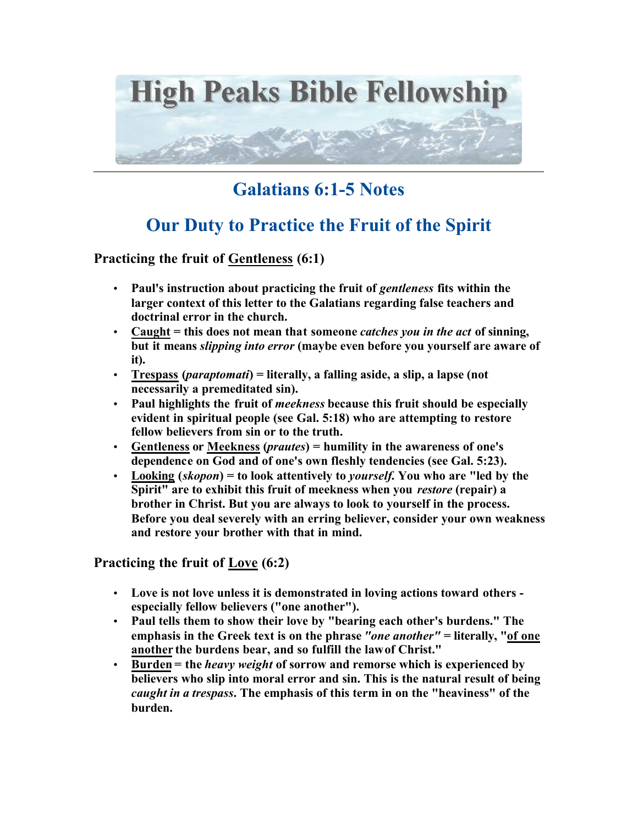

## **Galatians 6:1-5 Notes**

## **Our Duty to Practice the Fruit of the Spirit**

**Practicing the fruit of Gentleness (6:1)**

- **Paul's instruction about practicing the fruit of** *gentleness* **fits within the larger context of this letter to the Galatians regarding false teachers and doctrinal error in the church.**
- **Caught = this does not mean that someone** *catches you in the act* **of sinning, but it means** *slipping into error* **(maybe even before you yourself are aware of it).**
- **Trespass (***paraptomati***) = literally, a falling aside, a slip, a lapse (not necessarily a premeditated sin).**
- **Paul highlights the fruit of** *meekness* **because this fruit should be especially evident in spiritual people (see Gal. 5:18) who are attempting to restore fellow believers from sin or to the truth.**
- **Gentleness or Meekness (***prautes***) = humility in the awareness of one's dependence on God and of one's own fleshly tendencies (see Gal. 5:23).**
- **Looking (***skopon***) = to look attentively to** *yourself***. You who are "led by the Spirit" are to exhibit this fruit of meekness when you** *restore* **(repair) a brother in Christ. But you are always to look to yourself in the process. Before you deal severely with an erring believer, consider your own weakness and restore your brother with that in mind.**

**Practicing the fruit of Love (6:2)**

- **Love is not love unless it is demonstrated in loving actions toward others especially fellow believers ("one another").**
- **Paul tells them to show their love by "bearing each other's burdens." The emphasis in the Greek text is on the phrase** *"one another"* **= literally, "of one another the burdens bear, and so fulfill the law of Christ."**
- **Burden = the** *heavy weight* **of sorrow and remorse which is experienced by believers who slip into moral error and sin. This is the natural result of being**  *caught in a trespass***. The emphasis of this term in on the "heaviness" of the burden.**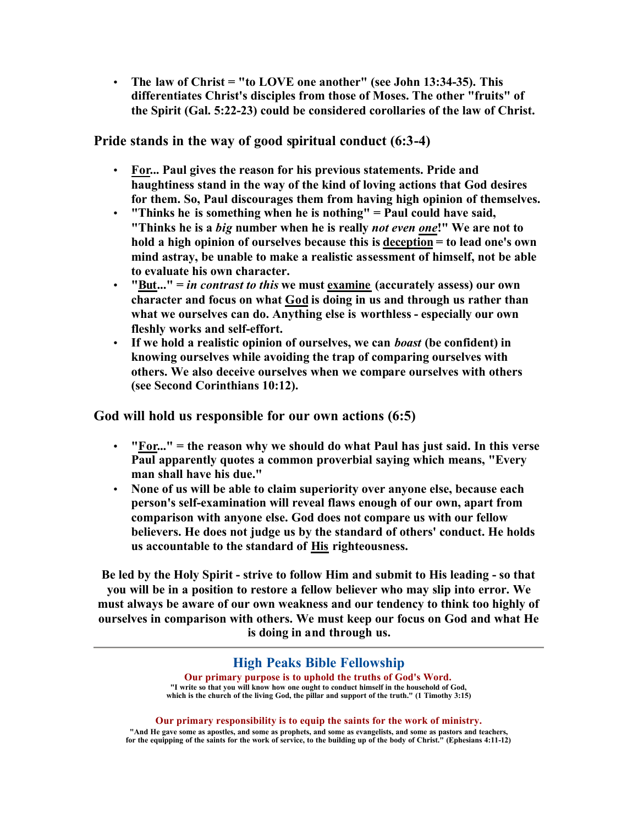• **The law of Christ = "to LOVE one another" (see John 13:34-35). This differentiates Christ's disciples from those of Moses. The other "fruits" of the Spirit (Gal. 5:22-23) could be considered corollaries of the law of Christ.** 

**Pride stands in the way of good spiritual conduct (6:3-4)**

- **For... Paul gives the reason for his previous statements. Pride and haughtiness stand in the way of the kind of loving actions that God desires for them. So, Paul discourages them from having high opinion of themselves.**
- **"Thinks he is something when he is nothing" = Paul could have said, "Thinks he is a** *big* **number when he is really** *not even one***!" We are not to hold a high opinion of ourselves because this is deception = to lead one's own mind astray, be unable to make a realistic assessment of himself, not be able to evaluate his own character.**
- **"But..." =** *in contrast to this* **we must examine (accurately assess) our own character and focus on what God is doing in us and through us rather than what we ourselves can do. Anything else is worthless - especially our own fleshly works and self-effort.**
- **If we hold a realistic opinion of ourselves, we can** *boast* **(be confident) in knowing ourselves while avoiding the trap of comparing ourselves with others. We also deceive ourselves when we compare ourselves with others (see Second Corinthians 10:12).**

**God will hold us responsible for our own actions (6:5)**

- **"For..." = the reason why we should do what Paul has just said. In this verse Paul apparently quotes a common proverbial saying which means, "Every man shall have his due."**
- **None of us will be able to claim superiority over anyone else, because each person's self-examination will reveal flaws enough of our own, apart from comparison with anyone else. God does not compare us with our fellow believers. He does not judge us by the standard of others' conduct. He holds us accountable to the standard of His righteousness.**

**Be led by the Holy Spirit - strive to follow Him and submit to His leading - so that you will be in a position to restore a fellow believer who may slip into error. We must always be aware of our own weakness and our tendency to think too highly of ourselves in comparison with others. We must keep our focus on God and what He is doing in and through us.**

## **High Peaks Bible Fellowship**

**Our primary purpose is to uphold the truths of God's Word. "I write so that you will know how one ought to conduct himself in the household of God, which is the church of the living God, the pillar and support of the truth." (1 Timothy 3:15)**

**Our primary responsibility is to equip the saints for the work of ministry. "And He gave some as apostles, and some as prophets, and some as evangelists, and some as pastors and teachers, for the equipping of the saints for the work of service, to the building up of the body of Christ." (Ephesians 4:11-12)**